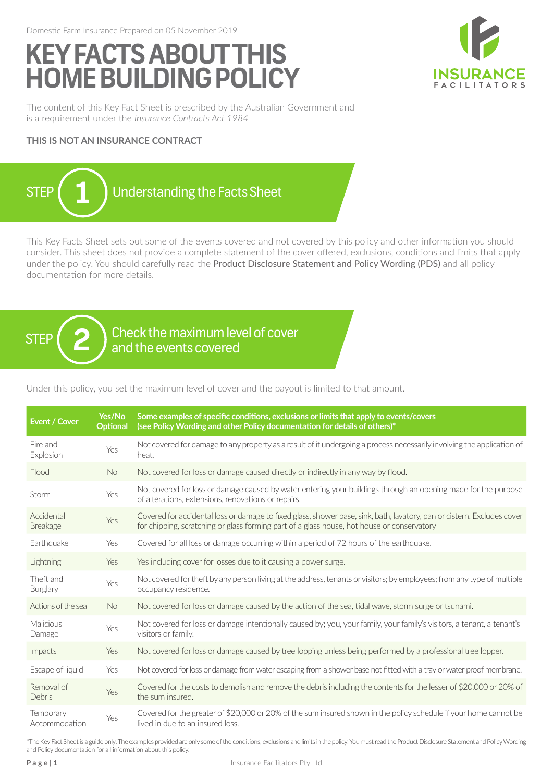# **KEY FACTS ABOUT THIS HOME BUILDING POLICY**



The content of this Key Fact Sheet is prescribed by the Australian Government and is a requirement under the *Insurance Contracts Act 1984*

## **THIS IS NOT AN INSURANCE CONTRACT**



This Key Facts Sheet sets out some of the events covered and not covered by this policy and other information you should consider. This sheet does not provide a complete statement of the cover offered, exclusions, conditions and limits that apply under the policy. You should carefully read the Product Disclosure Statement and Policy Wording (PDS) and all policy documentation for more details.

 $\begin{array}{cc} \text{STEP} & \text{2} \end{array}$  check the maximum level of cover<br>and the events covered

Under this policy, you set the maximum level of cover and the payout is limited to that amount.

| <b>Event / Cover</b>          | Yes/No<br><b>Optional</b> | Some examples of specific conditions, exclusions or limits that apply to events/covers<br>(see Policy Wording and other Policy documentation for details of others)*                                                  |
|-------------------------------|---------------------------|-----------------------------------------------------------------------------------------------------------------------------------------------------------------------------------------------------------------------|
| Fire and<br>Explosion         | Yes                       | Not covered for damage to any property as a result of it undergoing a process necessarily involving the application of<br>heat.                                                                                       |
| Flood                         | No.                       | Not covered for loss or damage caused directly or indirectly in any way by flood.                                                                                                                                     |
| Storm                         | Yes                       | Not covered for loss or damage caused by water entering your buildings through an opening made for the purpose<br>of alterations, extensions, renovations or repairs.                                                 |
| Accidental<br><b>Breakage</b> | Yes                       | Covered for accidental loss or damage to fixed glass, shower base, sink, bath, lavatory, pan or cistern. Excludes cover<br>for chipping, scratching or glass forming part of a glass house, hot house or conservatory |
| Earthquake                    | Yes                       | Covered for all loss or damage occurring within a period of 72 hours of the earthquake.                                                                                                                               |
| Lightning                     | <b>Yes</b>                | Yes including cover for losses due to it causing a power surge.                                                                                                                                                       |
| Theft and<br>Burglary         | Yes                       | Not covered for theft by any person living at the address, tenants or visitors; by employees; from any type of multiple<br>occupancy residence.                                                                       |
| Actions of the sea            | No.                       | Not covered for loss or damage caused by the action of the sea, tidal wave, storm surge or tsunami.                                                                                                                   |
| Malicious<br>Damage           | Yes                       | Not covered for loss or damage intentionally caused by; you, your family, your family's visitors, a tenant, a tenant's<br>visitors or family.                                                                         |
| Impacts                       | Yes                       | Not covered for loss or damage caused by tree lopping unless being performed by a professional tree lopper.                                                                                                           |
| Escape of liquid              | Yes                       | Not covered for loss or damage from water escaping from a shower base not fitted with a tray or water proof membrane.                                                                                                 |
| Removal of<br>Debris          | Yes                       | Covered for the costs to demolish and remove the debris including the contents for the lesser of \$20,000 or 20% of<br>the sum insured.                                                                               |
| Temporary<br>Accommodation    | Yes                       | Covered for the greater of \$20,000 or 20% of the sum insured shown in the policy schedule if your home cannot be<br>lived in due to an insured loss.                                                                 |

\*The Key Fact Sheet is a guide only. The examples provided are only some of the conditions, exclusions and limits in the policy. You must read the Product Disclosure Statement and Policy Wording and Policy documentation for all information about this policy.